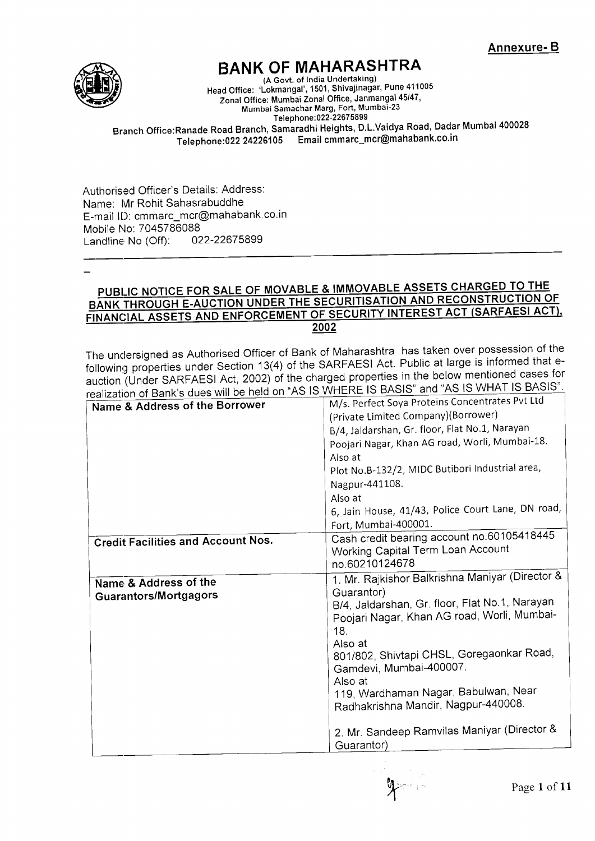

# **BANK OF MAHARASHTRA**

(A Govt. of lndia Undertaking) Head Office: 'Lokmangal', 1501 , Shivajinagar, Pune <sup>411005</sup> Zonal Office: Mumbai Zonal Office, Janmangal 45/47, Mumbai Samachar Marg, Fort, Mumbai-23 Telephone: 022-22675899

Branch Office:Ranade Road Branch, Samaradhi Heights, D.L.\/aidya Road, Dadar Mumbai <sup>400028</sup> Telephone:022 24226105 Email cmmarc\_mcr@mahabank.co.in

Authorised Officer's Details: Address: Name: Mr Rohit Sahasrabuddhe E-mail ID: cmmarc-mcr@mahabank co.in Mobile No: 7045786088<br>Landline No (Off): 022-22675899 Landline  $No$  (Off):

#### PUBLIC NOTICE FOR SALE OF MOVABLE & IMMOVABLE ASSETS CHARGED TO THE BANK THROUGH E-AUCTION UNDER THE SECURITISATION AND RECONSTRUCTION OF FINANCIAL ASSETS AND ENFORCEMENT OF SECURITY INTEREST ACT (SARFAESI ACT), 2002

The undersigned as Authorised Officer of Bank of Maharashtra has taken over possession of the following properties under Section 13(4) of the SARFAESI Act. Public at large is informed that eauction (Under SARFAESI Act, 2002) of the charged properties in the below mentioned cases for  $r_{\rm{max}}$ ,  $r_{\rm{max}}$  is a constructed by  $r_{\rm{max}}$  and "AS ls WHERE IS BASIS" and "AS IS WHAT IS BASIS".

| realization of Barik's ques will be rield on ASTO When $\frac{1}{2}$<br>M/s. Perfect Soya Proteins Concentrates Pvt Ltd<br>Name & Address of the Borrower |                                                   |  |
|-----------------------------------------------------------------------------------------------------------------------------------------------------------|---------------------------------------------------|--|
|                                                                                                                                                           | (Private Limited Company)(Borrower)               |  |
|                                                                                                                                                           | B/4, Jaldarshan, Gr. floor, Flat No.1, Narayan    |  |
|                                                                                                                                                           | Poojari Nagar, Khan AG road, Worli, Mumbai-18.    |  |
|                                                                                                                                                           | Also at                                           |  |
|                                                                                                                                                           | Plot No.B-132/2, MIDC Butibori Industrial area,   |  |
|                                                                                                                                                           | Nagpur-441108.                                    |  |
|                                                                                                                                                           | Also at                                           |  |
|                                                                                                                                                           | 6, Jain House, 41/43, Police Court Lane, DN road, |  |
|                                                                                                                                                           | Fort, Mumbai-400001.                              |  |
| <b>Credit Facilities and Account Nos.</b>                                                                                                                 | Cash credit bearing account no.60105418445        |  |
|                                                                                                                                                           | Working Capital Term Loan Account                 |  |
|                                                                                                                                                           | no.60210124678                                    |  |
| Name & Address of the                                                                                                                                     | 1. Mr. Rajkishor Balkrishna Maniyar (Director &   |  |
| <b>Guarantors/Mortgagors</b>                                                                                                                              | Guarantor)                                        |  |
|                                                                                                                                                           | B/4, Jaldarshan, Gr. floor, Flat No.1, Narayan    |  |
|                                                                                                                                                           | Poojari Nagar, Khan AG road, Worli, Mumbai-       |  |
|                                                                                                                                                           | 18.                                               |  |
|                                                                                                                                                           | Also at                                           |  |
|                                                                                                                                                           | 801/802, Shivtapi CHSL, Goregaonkar Road,         |  |
|                                                                                                                                                           | Gamdevi, Mumbai-400007.                           |  |
|                                                                                                                                                           | Also at                                           |  |
|                                                                                                                                                           | 119, Wardhaman Nagar, Babulwan, Near              |  |
|                                                                                                                                                           | Radhakrishna Mandir, Nagpur-440008.               |  |
|                                                                                                                                                           | 2. Mr. Sandeep Ramvilas Maniyar (Director &       |  |
|                                                                                                                                                           |                                                   |  |
|                                                                                                                                                           | Guarantor)                                        |  |
|                                                                                                                                                           |                                                   |  |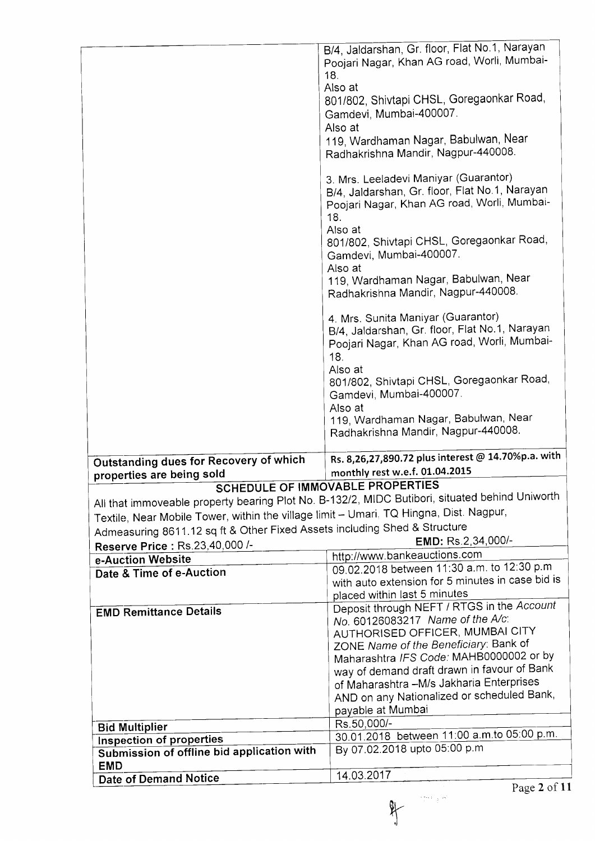$\left\langle \frac{\partial}{\partial t} \mathbf{x} \right\rangle_{\mathcal{A}}$  by  $% \mathcal{W}$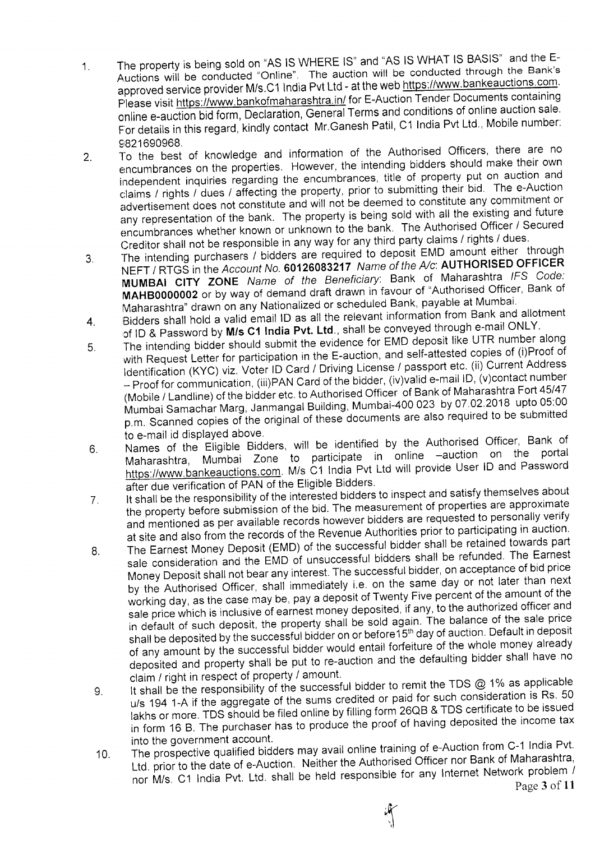- The property is being sold on "AS IS WHERE IS" and "AS IS WHAT IS BASIS" and the E- $1.$ Auctions will be conducted "Online". The auction will be conducted through the Bank's approved service provider M/s.C1 India Pvt Ltd - at the web https://www.bankeauctions.com. Please visit https://www.bankofmaharashtra.in/ for E-Auction Tender Documents containing online e-auction bid form, Declaration, General Terms and conditions of online auction sale. For details in this regard, kindly contact Mr. Ganesh Patil, C1 India Pvt Ltd., Mobile number:
- 2. 9821690968.<br>To the best of knowledge and information of the Authorised Officers, there are no encumbrances on the properties. However, the intending bidders should make their own independent inquiries regarding the encumbrances, title of property put on auction and claims / rights / dues / affecting the property, prior to submitting their bid. The e-Auction advertisement does not constitute and will not be deemed to constitute any commitment or any representation of the bank. The property is being sold with all the existing and future encumbrances whether known or unknown to the bank. The Authorised Officer / Secured Creditor shall not be responsible in any way for any third party claims / rights / dues.
- The intending purchasers / bidders are required to deposit EMD amount either through  $3<sub>1</sub>$ NEFT / RTGS in the Account No. 60126083217 Name of the A/c: AUTHORISED OFFICER MUMBAI CITY ZONE Name of the Beneficiary. Bank of Maharashtra /FS Code: MAHB0000002 or by way of demand draft drawn in favour of "Authorised Officer, Bank of **MAHBOOOOODE on By may Nationalized or scheduled Bank, payable at Mumbain**<br>Maharashtra" drawn on any Nationalized or scheduled Bank, payable at Mumbai
- wariarashing "drawn" on any nahoming and the relevant information from Bank and allotment<br>Bidders shall hold a valid email ID as all the relevant information frough e-mail ONLY of ID & Password by M/s C1 India Pvt. Ltd., shall be conveyed through e-mail ONLY. 4.
- The intending bidder should submit the evidence for EMD deposit like UTR number along with Request Letter for participation in the E-auction, and self-attested copies of (i)Proof of Identification (KYC) viz. Voter ID Card / Driving License / passport etc. (ii) Current Address – Proof for communication, (iii)PAN Card of the bidder, (iv)valid e-mail iD, (v)contact hamser<br>(Mobile / Landline) of the bidder etc. to Authorised Officer\_of Bank of Maharashtra Fort 45/47 - Proof for communication, (iii)PAN Card of the bidder, (iv)valid e-mail ID, (v)contact number Mumbai Samachar Marg, Janmangal Building, Mumbai-400 023 by 07 02 2018 upto 05:00 p.m. Scanned copies of the original of these documents are also required to be submitted<br>to e-mail id displayed above. 6
- to e-mail id displayed above.<br>Names of the Eligible Bidders, will be identified by the Authorised Officer, Bank of Maharashtra, Mumbai Zone to participate in online -auction on the portal https://www.bankeauctions.com. M/s C1 India Pvt Ltd will provide User ID and Password after due verification of PAN of the Eligible Bidders.  $6.$
- It shall be the responsibility of the interested bidders to inspect and satisfy themselves about the property before submission of the bid. The measurement of properties are approximate and mentioned as per available records however bidders are requested to personally verify at site and also from the records of the Revenue Authorities prior to participating in auction. -I.
- The Earnest Money Deposit (EMD) of the successful bidder shall be retained towards part sale consideration and the EMD of unsuccessful bidders shall be refunded. The Earnest Money Deposit shall not bear any interest. The successful bidder, on acceptance of bid price by the Authorised Officer, shall immediately i.e. on the same day or not later than next working day, as the case may be, pay a deposit of Twenty Five percent of the amount of the sale price which is inclusive of earnest money deposited, if any, to the authorized officer and in default of such deposit, the property shall be sold again. The balance of the sale price shall be deposited by the successful bidder on or before 15<sup>th</sup> day of auction. Default in deposit of any amount by the successful bidder would entail forfeiture of the whole money already deposited and property shall be put to re-auction and the defaulting bidder shall have no claim / right in respect of property / amount.  $8<sub>1</sub>$
- It shall be the responsibility of the successful bidder to remit the TDS  $@$  1% as applicable u/s 194 1-A if the aggregate of the sums credited or paid for such consideration is Rs. 50 lakhs or more. TDS should be filed online by filling form 26QB & TDS certificate to be issued in form 16 B. The purchaser has to produce the proof of having deposited the income tax into the government account. Y.
- The prospective qualified bidders may avail online training of e-Auction from C-1 India Pvt. Ltd. prior to the date of e-Auction. Neither the Authorised Officer nor Bank of Maharashtra, nor M/s. C1 India Pvt. Ltd. shall be held responsible for any Internet Network problem  $/$ Page 3 of 11 '10.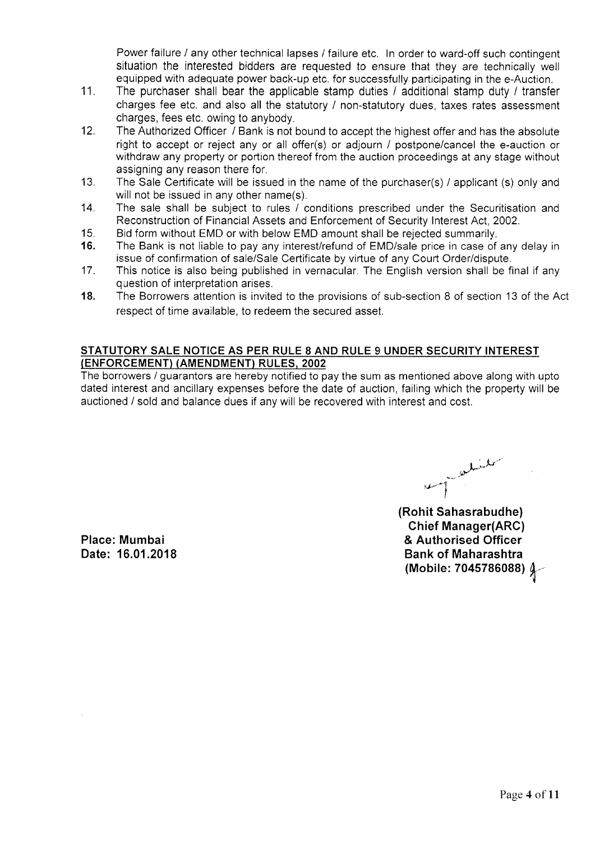Power failure / any other technical lapses / failure etc. In order to ward-off such contingent situation the interested bidders are requested to ensure that they are technically well equipped with adequate power back-up etc. for successfully participating in the e-Auction.

- 11. The purchaser shall bear the applicable stamp duties / additional stamp duty / transfer charges fee etc. and also all the statutory / non-statutory dues, taxes rates assessment charges, fees etc. owing to anybody.
- 12. The Authorized Officer / Bank is not bound to accept the highest offer and has the absolute right to accept or reject any or all offer(s) or adjourn / postpone/cancel the e-auction or withdraw any property or portion thereof from the auction proceedings at any stage without assigning any reason there for.
- $13.$ The Sale Certificate will be issued in the name of the purchaser(s) / applicant (s) only and will not be issued in any other name(s).
- 14. The sale shall be subject to rules / conditions prescribed under the Securitisation and Reconstruction of Financial Assets and Enforcement of Security Interest Act,2002.
- Bid form without EMD or with below EMD amount shall be rejected summarily. 15
- The Bank is not liable to pay any interest/refund of EMD/sale price in case of any delay in issue of confirmation of sale/Sale Certificate by virtue of any Court Order/dispute. 16.
- This notice is also being published in vernacular. The English version shall be final if any question of interpretation arises. 17
- The Borrowers attention is invited to the provisions of sub-section 8 of section 13 of the Act respect of time available, to redeem the secured asset. 18.

#### STATUTORY SALE NOTICE AS PER RULE 8 AND RULE 9 UNDER SECURITY INTEREST (ENFORCEMENT) (AMENDMENT) RULES. 2OO2

The borrowers / guarantors are hereby notified to pay the sum as mentioned above along with upto dated interest and ancillary expenses before the date of auction, failing which the property will be auctioned / sold and balance dues if anv will be recovered with interest and cost.

ملمسل .<br>إ<sup>حمد</sup> ممه

(Rohit Sahasrabudhe) Chief Manager(ARC) & Authorised Officer Bank of Maharashtra (Mobile: 7045786088)  $\int$ 

Place: Mumbai Date: 16.01.2018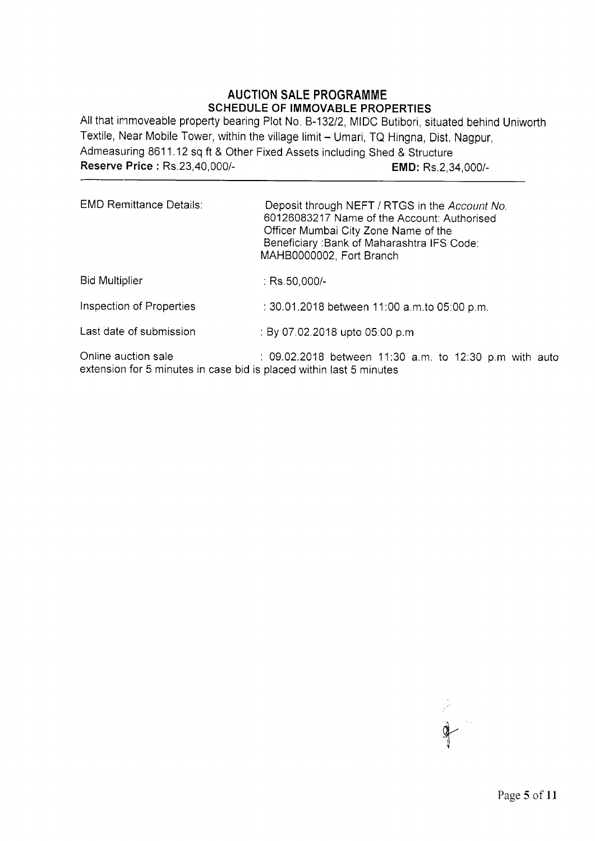# AUCTION SALE PROGRAMME SCHEDULE OF IMMOVABLE PROPERTIES

All that immoveable property bearing Plot No. 8-13212, MIDC Butibori, situated behind Uniworth Textile, Near Mobile Tower, within the village limit - Umari, TQ Hingna, Dist. Nagpur, Admeasuring 8611.12 sq ft & Other Fixed Assets including Shed & Structure Reserve Price : Rs.23,40,000/-<br>
EMD: Rs.2,34,000/-

| <b>EMD Remittance Details:</b>                                                             | Deposit through NEFT / RTGS in the Account No.<br>60126083217 Name of the Account: Authorised<br>Officer Mumbai City Zone Name of the<br>Beneficiary: Bank of Maharashtra IFS Code:<br>MAHB0000002, Fort Branch |
|--------------------------------------------------------------------------------------------|-----------------------------------------------------------------------------------------------------------------------------------------------------------------------------------------------------------------|
| <b>Bid Multiplier</b>                                                                      | : $Rs.50,000/-$                                                                                                                                                                                                 |
| Inspection of Properties                                                                   | : 30.01.2018 between 11:00 a.m.to 05:00 p.m.                                                                                                                                                                    |
| Last date of submission                                                                    | : By 07.02.2018 upto 05:00 p.m.                                                                                                                                                                                 |
| Online auction sale<br>extension for 5 minutes in case bid is placed within last 5 minutes | : 09.02.2018 between 11:30 a.m. to 12:30 p.m with auto                                                                                                                                                          |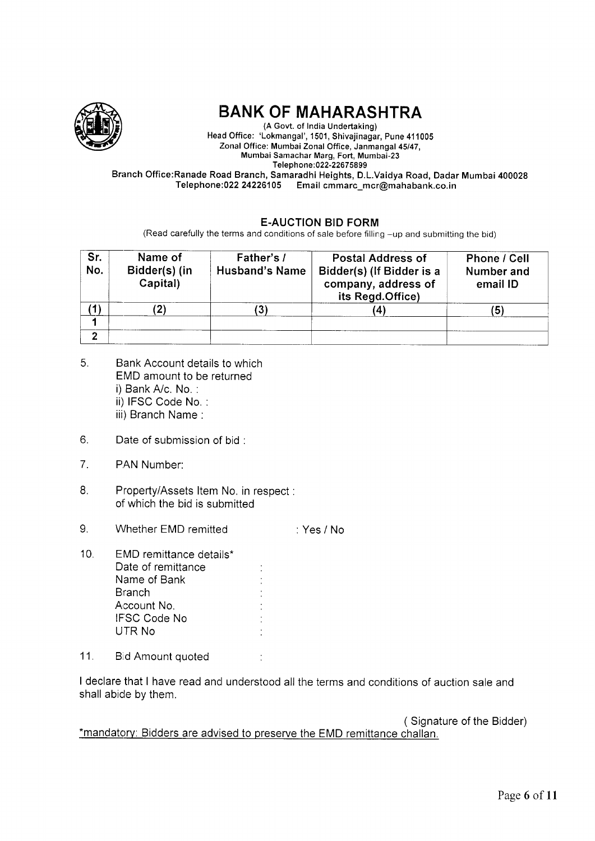

# BANK OF MAHARASHTRA

(A Govt. of India Undertaking) Head Office: 'Lokmangal', 1501, Shivajinagar, Pune 411005 ,Zonal Office: Mumbai Zonal Office, Janmangal 45/47, Mumbai Samachar Marg, Fort, Mumbai-23 Telephone: 022-22675899 Branch Office:Ranade Road Branch, Samaradhi Heights, D.L.Vaidya Road, Dadar Mumbai 400028

Telephone:022 24226105 Email cmmarc\_mcr@mahabank.co.in

# E.AUCTION BID FORM

(Read carefully the terms and conditions of sale before filling -up and submitting the bid)

| Sr.<br>No. | Name of<br>Bidder(s) (in<br>Capital) | Father's /<br><b>Husband's Name</b> | <b>Postal Address of</b><br>Bidder(s) (If Bidder is a<br>company, address of<br>its Regd.Office) | Phone / Cell<br>Number and<br>email ID |
|------------|--------------------------------------|-------------------------------------|--------------------------------------------------------------------------------------------------|----------------------------------------|
|            |                                      |                                     | 41                                                                                               | (5)                                    |
| ◠          |                                      |                                     |                                                                                                  |                                        |

- 6 Bank Account details to which EMD amount to be returned i) Bank A/c. No. : ii) IFSC Code No. : iii) Branch Name :
- $6.$ Date of submission of bid :
- $7.$ PAN Number:
- $8<sub>1</sub>$ Property/Assets ltem No. in respect of which the bid is submitted
- Whether EMD remitted 9. :Yes/No
- 10 EMD remittance details\* Date of remittance Name of Bank **Branch** Account No. IFSC Code No UTR No
- 11. Bid Amount quoted :

I declare that I have read and understood all the terms and conditions of auction sale and shall abide by them.

( Signature of the Bidder) \*mandatorv: Bidders are advised to preserve the EMD remittance challan.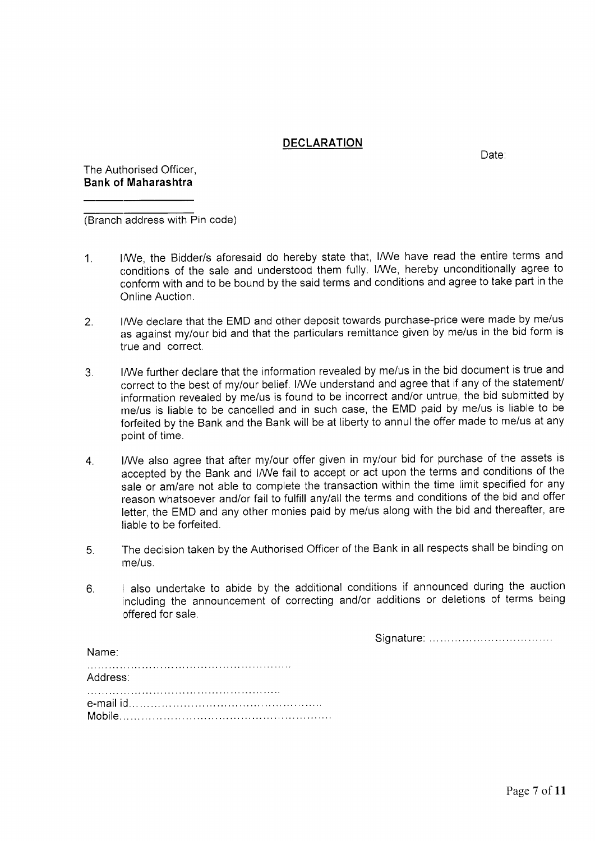#### **DECLARATION**

Date:

The Authorised Officer, Bank of Maharashtra

(Branch address with Pin code)

- 1. I/We, the Bidder/s aforesaid do hereby state that, I/We have read the entire terms and conditions of the sale and understood them fully. I/We, hereby unconditionally agree to conform with and to be bound by the said terms and conditions and agree to take part in the Online Auction.
- 2. I/We declare that the EMD and other deposit towards purchase-price were made by me/us as against my/our bid and that the particulars remittance given by me/us in the bid form is true and correct.
- I/We further declare that the information revealed by me/us in the bid document is true and  $3<sub>1</sub>$ correct to the best of my/our belief. I/We understand and agree that if any of the statement/ information revealed by me/us is found to be incorrect and/or untrue, the bid submitted by me/us is liable to be cancelled and in such case, the EMD paid by me/us is liable to be forfeited by the Bank and the Bank will be at liberty to annul the offer made to me/us at any point of time.
- 4. lANe also agree that after my/our offer given in my/our bid for purchase of the assets is accepted by the Bank and I/We fail to accept or act upon the terms and conditions of the sale or amlare not able to complete the transaction within the time limit specified for any reason whatsoever and/or fail to fulfill any/all the terms and conditions of the bid and offer letter, the EMD and any other monies paid by me/us along with the bid and thereafter, are liable to be forfeited.
- The decision taken by the Authorised Officer of the Bank in all respects shall be binding on me/us. 6
- I also undertake to abide by the additional conditions if announced during the auction including the announcement of correcting and/or additions or deletions of terms being offered for sale.  $6<sub>1</sub>$

Siignature:

| Name:    |  |
|----------|--|
| Address: |  |
|          |  |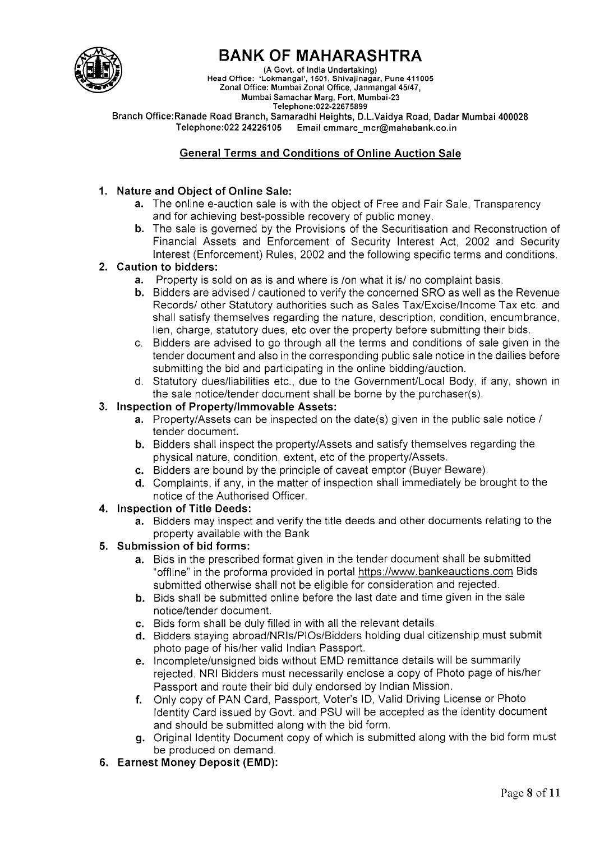

# BANK OF MAHARASHTRA

{A Govt. of lndia Undertaking) Head Office: 'Lokmangal', 1501, Shivajinagar, Pune 411005 ,Zonal Office: Mumbai Zonal Office, Janmangal 45/47, Mumbai Samachar Marg, Fort, Mumbai-23

Branch Office:Ranade Road Branch, Samaradhi Heights, D.L.Vaidya Road, Dadar Mumbai 400028<br>Telephone:022 24226105 Email cmmarc mcr@mahabank.co.in Email cmmarc\_mcr@mahabank.co.in

# General Terms and Conditions of Online Auction Sale

# 1. Nature and Object of Online Sale:

- a. The online e-auction sale is with the object of Free and Fair Sale, Transparency and for achieving best-possible recovery of public money.
- b. The sale is governed by the Provisions of the Securitisation and Reconstruction of Financial Assets and Enforcement of Security Interest Act, 2002 and Security lnterest (Enforcement) Rules, 2002 and the following specific terms and conditions.

# 2. Caution to bidders:

- a. Property is sold on as is and where is /on what it is/ no complaint basis.
- b. Bidders are advised / cautioned to verify the concerned SRO as well as the Revenue Records/ other Statutory authorities such as Sales Tax/Excise/lncome Tax etc. and shall satisfy themselves regarding the nature, description, condition, encumbrance, lien, charge, statutory dues, etc over the properrty before submitting their bids.
- c. Bidders are advised to go through all the terms and conditions of sale given in the tender document and also in the corresponding public sale notice in the dailies before submitting the bid and participating in the online bidding/auction.
- d. Statutory dues/liabilities etc., due to the Government/Local Body, if any, shown in the sale notice/tender document shall be borne by the purchaser(s).

#### 3. Inspection of Property/Immovable Assets:

- a. Property/Assets can be inspected on the date(s) given in the public sale notice / tender document.
- b. Bidders shall inspect the property/Assets and satisfy themselves regarding the physical nature, condition, extent, etc of the property/Assets.
- c. Bidders are bound by the principle of caveat emptor (Buyer Beware).
- d. Complaints, if any, in the matter of inspection shall immediately be brought to the notice of the Authorised Officer.

# 4. Inspection of Title Deeds:

a. Bidders may inspect and verify the title deeds and other documents relating to the property available with the Bank

# 5. Submission of bid forms

- a. Bids in the prescribed format given in the tender document shall be submitted "offline" in the proforma provided in portal https://www.bankeauctions.com Bids submitted otherwise shall not be eligible for consideration and rejected.
- b. Bids shall be submitted online before the last date and time given in the sale notice/tender document.
- c. Bids form shall be duly filled in with all the relevant details.
- d. Bidders staying abroad/NRIs/PIOs/Bidders holding dual citizenship must submit photo page of his/her valid Indian Passport.
- e. Incomplete/unsigned bids without EMD remittance details will be summarily rejected. NRI Bidders must necessarily enclose a copy of Photo page of his/her Passport and route their bid duly endorsed by Indian Mission.
- f. Only copy of PAN Card, Passport, Voter's lD, Valid Driving License or Photo ldentity Card issued by Govt. and PSU will be accepted as the identity document and should be submitted along with the bid form.
- g. Original ldentity Document copy of which is submitted along with the bid form must be produced on demand.
- 6. Earnest Money Deposit (EMD):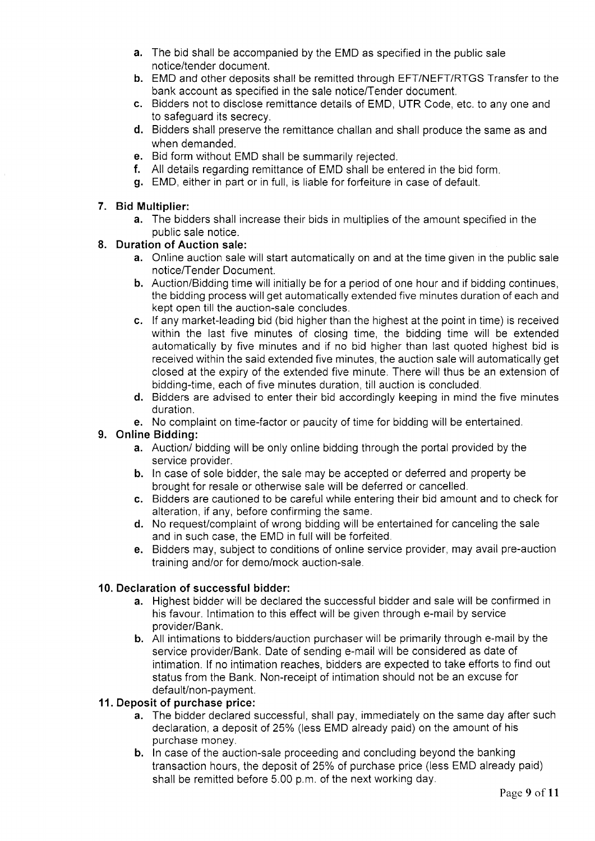- a. The bid shall be accompanied by the EMD as specified in the public sale notice/tender document.
- b. EMD and other deposits shall be remitted through EFT/NEFT/RTGS Transfer to the bank account as specified in the sale notice/Tender document.
- c. Bidders not to disclose remittance details of EMD, UTR Code, etc. to any one and to safeguard its secrecy.
- d. Bidders shall preserve the remittance challan and shall produce the same as and when demanded.
- e. Bid form without EMD shall be summarily rejected.
- f. All details regarding remittance of EMD shall be entered in the bid form.
- g. EMD, either in pad or in full, is liable for forfeiture in case of default.

#### 7. Bid Multiplier:

a. The bidders shall increase their bids in multiplies of the amount specified in the oublic sale notice.

#### 8. Duration of Auction sale:

- a. Online auction sale will start automatically on and at the time given in the public sale notice/Tender Document.
- b. Auction/Bidding time will initially be for a period of one hour and if bidding continues, the bidding process will get automatically extended five minutes duration of each and kept open till the auction-sale concludes.
- c. lf any market-leading bid (bid higher than the highest at the point in time) is received within the last five minutes of closing time, the bidding time will be extended automatically by five minutes and if no bid higher than last quoted highest bid is received within the said extended five minutes, the auction sale will automatically get closed at the expiry of the extended five minute. There will thus be an extension of bidding-time, each of five minutes duration, till auction is concluded.
- d. Bidders are advised to enter their bid accordingly keeping in mind the five minutes duration.
- e. No complaint on time-factor or paucity of time for bidding will be entertained.

# 9. Online Bidding:

- a. Auction/ bidding will be only online bidding through the portal provided by the service provider.
- b. In case of sole bidder, the sale may be accepted or deferred and property be brought for resale or otherwise sale will be deferred or cancelled.
- c. Bidders are cautioned to be careful while entering their bid amount and to check for alteration, if any, before confirming the same.
- d. No request/complaint of wrong bidding will be entertained for canceling the sale and in such case, the EMD in full will be forfeited.
- e. Bidders may, subject to conditions of online service provider, may avail pre-auction training and/or for demo/mock auction-sale.

#### 10. Declaration of successful bidder:

- a. Highest bidder will be declared the successful bidder and sale will be confirmed in his favour. lntimation to this effect will be given through e-mail by service provider/Bank.
- b. All intimations to bidders/auction purchaser will be primarily through e-mail by the service provider/Bank. Date of sending e-mail will be considered as date of intimation. If no intimation reaches, bidders are expected to take efforts to find out status from the Bank. Non-receipt of intimation should not be an excuse for default/non-payment.

#### 11. Deposit of purchase price:

- a. The bidder declared successful, shall pay, immediately on the same day after such declaration, a deposit of 25% (less EMD already paid) on the amount of his purchase money.
- b. In case of the auction-sale proceeding and concluding beyond the banking transaction hours, the deposit of 25% of purchase price (less EMD already paid) shall be remitted before 5.00 p.m. of the next working day.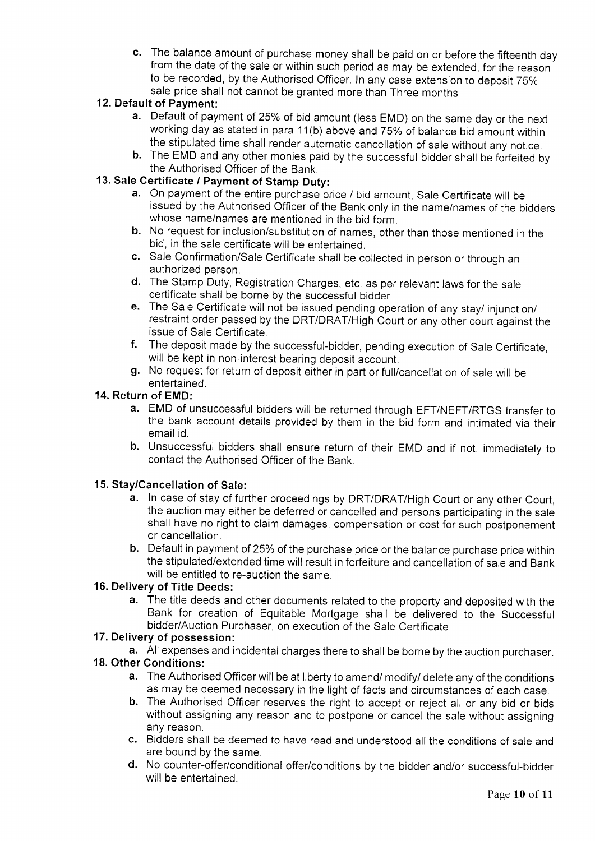c. The balance amount of purchase money shall be paid on or before the fifteenth day from the date of the sale or within such period as may be extended, for the reason to be recorded, by the Authorised Officer. In any case extension to deposit 75% sale price shall not cannot be granted more than Three months

## 12. Default of Payment:

- a. Default of payment of 25% of bid amount (less EMD) on the same day or the next working day as stated in para 11(b) above and 75% of balance bid amount within<br>the stipulated time shall render automatic cancellation of sale without any notice.
- b. The EMD and any other monies paid by the successful bidder shall be forfeited by the Authorised Officer of the Bank.

## 13. Sale Certificate / Payment of Stamp Duty:

- a. On payment of the entire purchase price / bid amount, Sale Certificate will be issued by the Authorised Officer of the Bank only in the name/names of the bidders whose name/names are mentioned in the bid form.
- b. No request for inclusion/substitution of names, other than those mentioned in the bid, in the sale certificate will be entertained.
- c. Sale Confirmation/Sale Certificate shall be collected in person or through an authorized person.
- d. The Stamp Duty, Registration Charges, etc. as per relevant laws for the sale certificate shall be borne by the successful bidder.
- e. The Sale Certificate will not be issued pending operation of any stay/ injunction/ restraint order passed by the DRT/DRAT/High Court or any other court against the issue of Sale Cerlificate.
- f. The deposit made by the successful-bidder, pending execution of Sale Certificate, will be kept in non-interest bearing deposit account.
- g. No request for return of deposit either in part or full/cancellation of sale will be entertained.

#### 14. Return of EMD:

- a. EMD of unsuccessful bidders will be returned through EFT/NEFT/RTGS transfer to the bank account details provided by them in the bid form and intimated via their email id.
- b. Unsuccessful bidders shall ensure return of their EMD and if not, immediately to contact the Aulhorised Officer of the Bank.

#### 15. Stay/Cancellation of Sale:

- a. In case of stay of further proceedings by DRT/DRAT/High Court or any other Court, the auction may either be deferred or cancelled and persons participating in the sale shall have no right to claim damages, compensation or cost for such postponement or cancellation.
- b. Default in payment of 25% of the purchase price or the balance purchase price within the stipulated/extended time will result in forfeiture and cancellation of sale and Bank will be entitled to re-auction the same.

## 16. Delivery of Title Deeds:

a. The title deeds and other documents related to the property and deposited with the Bank for creation of Equitable Mortgage shall be delivered to the Successful bidder/Auction Purchaser, on execution of the Sale Certificate

#### 17. Delivery of possession:

a. All expenses and incidental charges there to shall be borne by the auction purchaser.

#### 18. Other Gonditions:

- a. The Authorised Officer will be at liberty to amend/ modify/ delete any of the conditions as may be deemed necessary in the light of facts and circumstances of each case.
- b. The Authorised Officer reserves the right to accept or reject all or any bid or bids without assigning any reason and to postpone or cancel the sale without assigning any reason.
- c. Bidders shall be deemed to have read and underrstood all the conditions of sale and are bound by the same.
- d. No counter-offer/conditional offer/conditions by the bidder and/or successful-bidder will be entertained.